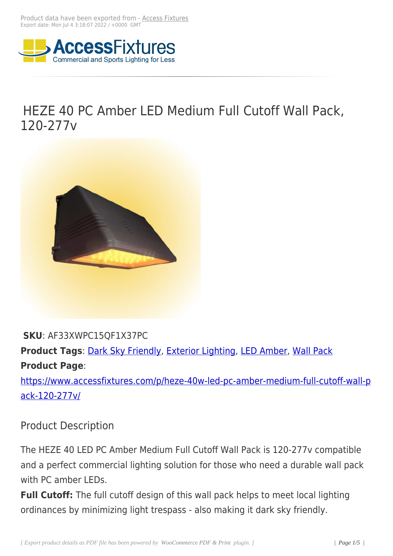

# HEZE 40 PC Amber LED Medium Full Cutoff Wall Pack, 120-277v



#### **SKU**: AF33XWPC15QF1X37PC

**Product Tags**: Dark Sky Friendly, Exterior Lighting, LED Amber, Wall Pack **Product Page**:

https://www.acc[essfixtures.com/p](https://www.accessfixtures.com/product-tag/dark-sky-friendly/)/[heze-40w-led-pc-](https://www.accessfixtures.com/product-tag/exterior-lighting/)[amber-mediu](https://www.accessfixtures.com/product-tag/led-amber/)[m-full-cuto](https://www.accessfixtures.com/product-tag/wall-pack/)ff-wall-p ack-120-277v/

### [Product Desc](https://www.accessfixtures.com/p/heze-40w-led-pc-amber-medium-full-cutoff-wall-pack-120-277v/)ription

The HEZE 40 LED PC Amber Medium Full Cutoff Wall Pack is 120-277v compatible and a perfect commercial lighting solution for those who need a durable wall pack with PC amber LEDs.

**Full Cutoff:** The full cutoff design of this wall pack helps to meet local lighting ordinances by minimizing light trespass - also making it dark sky friendly.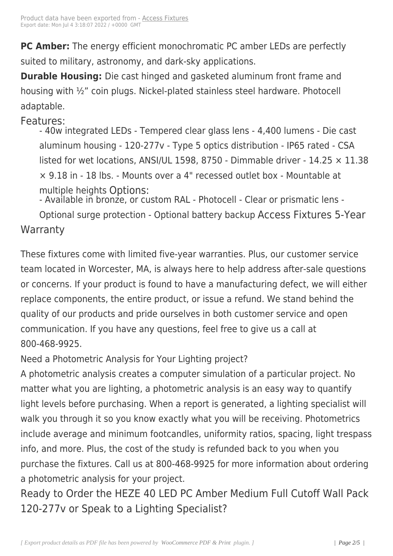**PC Amber:** The energy effic[ient monoch](https://www.accessfixtures.com/?post_type=product&p=92572)romatic PC amber LEDs are perfectly suited to military, astronomy, and dark-sky applications.

**Durable Housing:** Die cast hinged and gasketed aluminum front frame and housing with ½" coin plugs. Nickel-plated stainless steel hardware. Photocell adaptable.

#### Features:

- 40w integrated LEDs - Tempered clear glass lens - 4,400 lumens - Die cast aluminum housing - 120-277v - Type 5 optics distribution - IP65 rated - CSA listed for wet locations, ANSI/UL 1598, 8750 - Dimmable driver - 14.25  $\times$  11.38 × 9.18 in - 18 lbs. - Mounts over a 4" recessed outlet box - Mountable at multiple heights Options: - Available in bronze, or custom RAL - Photocell - Clear or prismatic lens -

Optional surge protection - Optional battery backup Access Fixtures 5-Year **Warranty** 

These fixtures come with limited five-year warranties. Plus, our customer service team located in Worcester, MA, is always here to help address after-sale questions or concerns. If your product is found to have a manufacturing defect, we will either replace components, the entire product, or issue a refund. We stand behind the quality of our products and pride ourselves in both customer service and open communication. If you have any questions, feel free to give us a call at 800-468-9925.

Need a Photometric Analysis for Your Lighting project?

A photometric analysis creates a computer simulation of a particular project. No matter what you are lighting, a photometric analysis is an easy way to quantify light levels before purchasing. When a report is generated, a lighting specialist will walk you through it so you know exactly what you will be receiving. Photometrics include average and minimum footcandles, uniformity ratios, spacing, light trespass info, and more. Plus, the cost of the study is refunded back to you when you purchase the fixtures. Call us at 800-468-9925 for more information about ordering a photometric analysis for your project.

Ready to Order the HEZE 40 LED PC Amber Medium Full Cutoff Wall Pack 120-277v or Speak to a Lighting Specialist?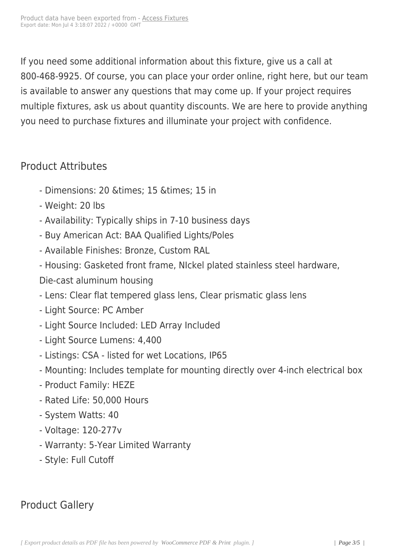If you need some additional information about this fixture, give us a call at 800-468-9925. Of course, you can place your order online, right here, but our team is available to answer any questions that may come up. If your project requires multiple fixtures, ask us about quantity discounts. We are here to provide anything you need to purchase fixtures and illuminate your project with confidence.

### Product Attributes

- Dimensions: 20 & times; 15 & times; 15 in
- Weight: 20 lbs
- Availability: Typically ships in 7-10 business days
- Buy American Act: BAA Qualified Lights/Poles
- Available Finishes: Bronze, Custom RAL
- Housing: Gasketed front frame, NIckel plated stainless steel hardware,
- Die-cast aluminum housing
- Lens: Clear flat tempered glass lens, Clear prismatic glass lens
- Light Source: PC Amber
- Light Source Included: LED Array Included
- Light Source Lumens: 4,400
- Listings: CSA listed for wet Locations, IP65
- Mounting: Includes template for mounting directly over 4-inch electrical box
- Product Family: HEZE
- Rated Life: 50,000 Hours
- System Watts: 40
- Voltage: 120-277v
- Warranty: 5-Year Limited Warranty
- Style: Full Cutoff

## Product Gallery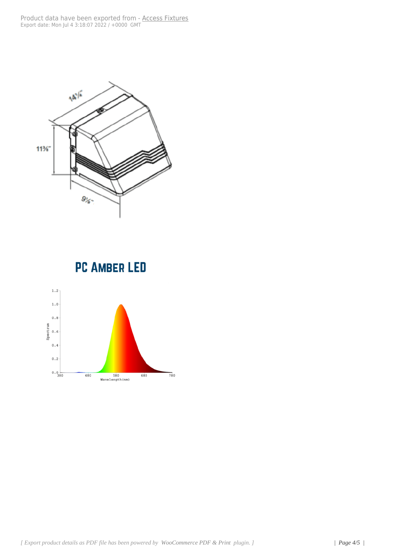

## **PC AMBER LED**